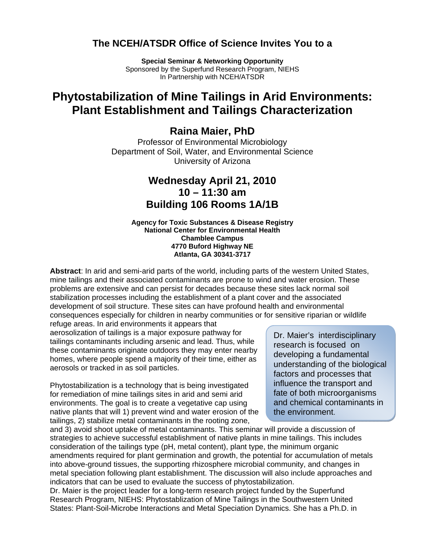### **The NCEH/ATSDR Office of Science Invites You to a**

**Special Seminar & Networking Opportunity** Sponsored by the Superfund Research Program, NIEHS In Partnership with NCEH/ATSDR

# **Phytostabilization of Mine Tailings in Arid Environments: Plant Establishment and Tailings Characterization**

### **Raina Maier, PhD**

Professor of Environmental Microbiology Department of Soil, Water, and Environmental Science University of Arizona

# **Wednesday April 21, 2010 10 – 11:30 am Building 106 Rooms 1A/1B**

#### **Agency for Toxic Substances & Disease Registry National Center for Environmental Health Chamblee Campus 4770 Buford Highway NE Atlanta, GA 30341-3717**

**Abstract**: In arid and semi-arid parts of the world, including parts of the western United States, mine tailings and their associated contaminants are prone to wind and water erosion. These problems are extensive and can persist for decades because these sites lack normal soil stabilization processes including the establishment of a plant cover and the associated development of soil structure. These sites can have profound health and environmental consequences especially for children in nearby communities or for sensitive riparian or wildlife

refuge areas. In arid environments it appears that aerosolization of tailings is a major exposure pathway for  $\overline{D}$  Dr. Maier's interdisciplinary tailings contaminants including arsenic and lead. Thus, while these contaminants originate outdoors they may enter nearby homes, where people spend a majority of their time, either as aerosols or tracked in as soil particles.

for remediation of mine tailings sites in arid and semi arid environments. The goal is to create a vegetative cap using native plants that will 1) prevent wind and water erosion of the tailings, 2) stabilize metal contaminants in the rooting zone, Phytostabilization is a technology that is being investigated

research is focused on developing a fundamental understanding of the biological factors and processes that influence the transport and fate of both microorganisms and chemical contaminants in the environment.

and 3) avoid shoot uptake of metal contaminants. This seminar will provide a discussion of strategies to achieve successful establishment of native plants in mine tailings. This includes consideration of the tailings type (pH, metal content), plant type, the minimum organic amendments required for plant germination and growth, the potential for accumulation of metals into above-ground tissues, the supporting rhizosphere microbial community, and changes in metal speciation following plant establishment. The discussion will also include approaches and indicators that can be used to evaluate the success of phytostabilization.

Dr. Maier is the project leader for a long-term research project funded by the Superfund Research Program, NIEHS: Phytostablization of Mine Tailings in the Southwestern United States: Plant-Soil-Microbe Interactions and Metal Speciation Dynamics. She has a Ph.D. in